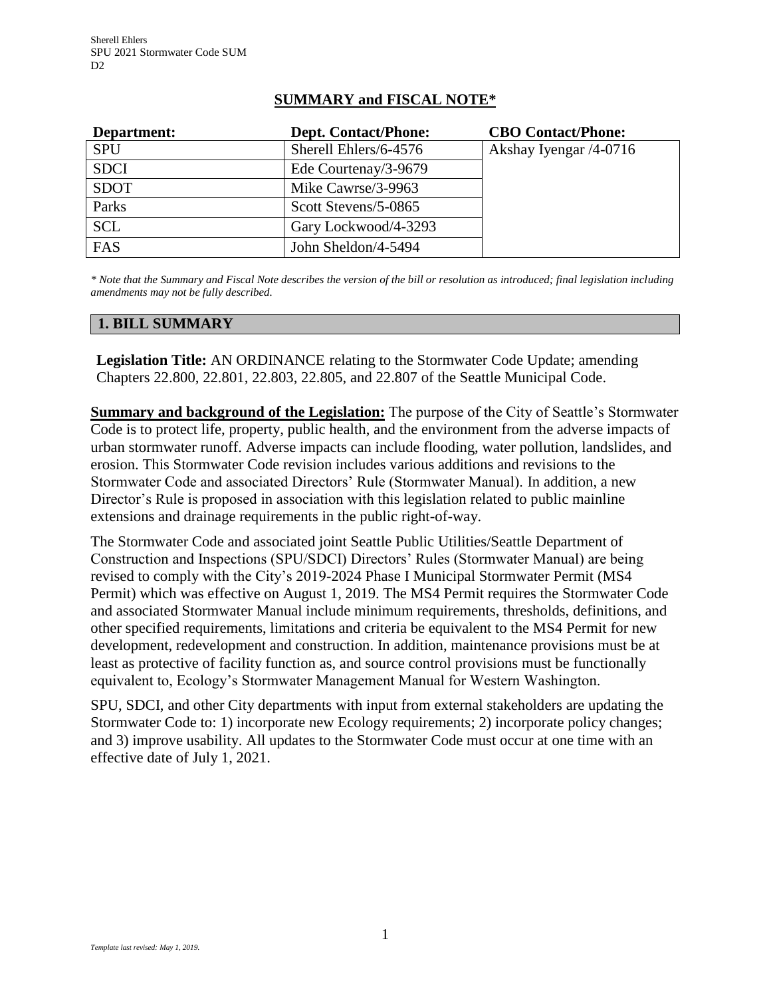# **SUMMARY and FISCAL NOTE\***

| Department: | <b>Dept. Contact/Phone:</b> | <b>CBO Contact/Phone:</b> |
|-------------|-----------------------------|---------------------------|
| <b>SPU</b>  | Sherell Ehlers/6-4576       | Akshay Iyengar /4-0716    |
| <b>SDCI</b> | Ede Courtenay/3-9679        |                           |
| <b>SDOT</b> | Mike Cawrse/3-9963          |                           |
| Parks       | Scott Stevens/5-0865        |                           |
| <b>SCL</b>  | Gary Lockwood/4-3293        |                           |
| FAS         | John Sheldon/4-5494         |                           |

*\* Note that the Summary and Fiscal Note describes the version of the bill or resolution as introduced; final legislation including amendments may not be fully described.*

### **1. BILL SUMMARY**

**Legislation Title:** AN ORDINANCE relating to the Stormwater Code Update; amending Chapters 22.800, 22.801, 22.803, 22.805, and 22.807 of the Seattle Municipal Code.

**Summary and background of the Legislation:** The purpose of the City of Seattle's Stormwater Code is to protect life, property, public health, and the environment from the adverse impacts of urban stormwater runoff. Adverse impacts can include flooding, water pollution, landslides, and erosion. This Stormwater Code revision includes various additions and revisions to the Stormwater Code and associated Directors' Rule (Stormwater Manual). In addition, a new Director's Rule is proposed in association with this legislation related to public mainline extensions and drainage requirements in the public right-of-way.

The Stormwater Code and associated joint Seattle Public Utilities/Seattle Department of Construction and Inspections (SPU/SDCI) Directors' Rules (Stormwater Manual) are being revised to comply with the City's 2019-2024 Phase I Municipal Stormwater Permit (MS4 Permit) which was effective on August 1, 2019. The MS4 Permit requires the Stormwater Code and associated Stormwater Manual include minimum requirements, thresholds, definitions, and other specified requirements, limitations and criteria be equivalent to the MS4 Permit for new development, redevelopment and construction. In addition, maintenance provisions must be at least as protective of facility function as, and source control provisions must be functionally equivalent to, Ecology's Stormwater Management Manual for Western Washington.

SPU, SDCI, and other City departments with input from external stakeholders are updating the Stormwater Code to: 1) incorporate new Ecology requirements; 2) incorporate policy changes; and 3) improve usability. All updates to the Stormwater Code must occur at one time with an effective date of July 1, 2021.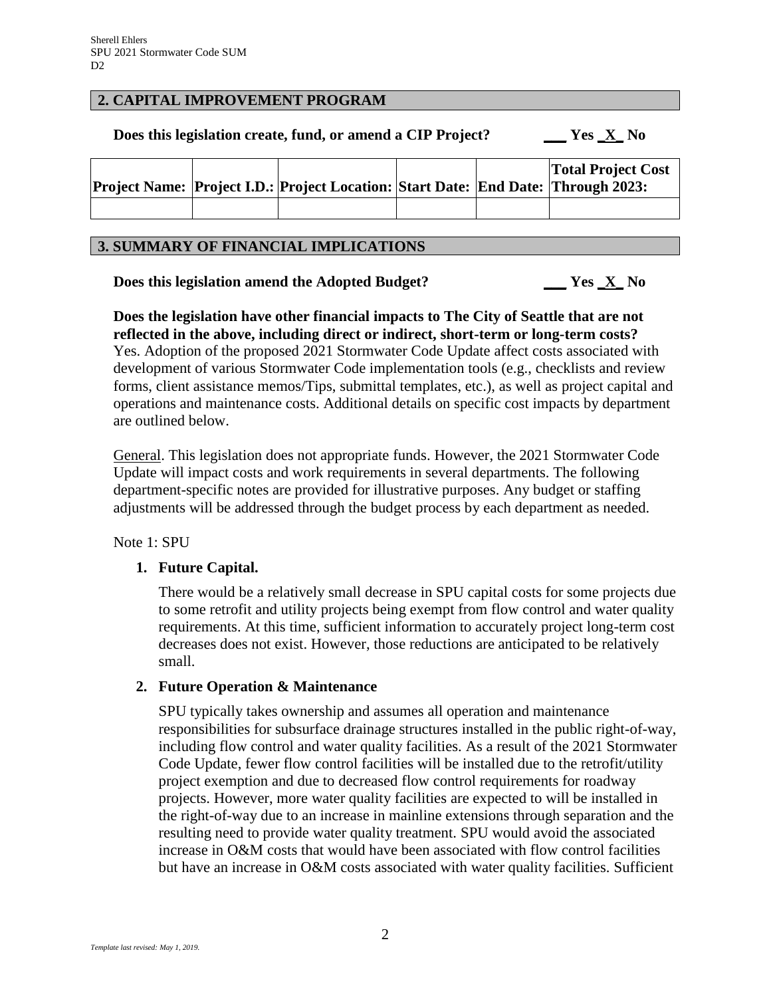#### **2. CAPITAL IMPROVEMENT PROGRAM**

**Does this legislation create, fund, or amend a CIP Project? \_\_\_ Yes \_X\_ No**

|  | Project Name: Project I.D.: Project Location: Start Date: End Date: Through 2023: |  | <b>Total Project Cost</b> |
|--|-----------------------------------------------------------------------------------|--|---------------------------|
|  |                                                                                   |  |                           |

#### **3. SUMMARY OF FINANCIAL IMPLICATIONS**

**Does this legislation amend the Adopted Budget? \_\_\_ Yes \_X\_ No**

**Does the legislation have other financial impacts to The City of Seattle that are not reflected in the above, including direct or indirect, short-term or long-term costs?**

Yes. Adoption of the proposed 2021 Stormwater Code Update affect costs associated with development of various Stormwater Code implementation tools (e.g., checklists and review forms, client assistance memos/Tips, submittal templates, etc.), as well as project capital and operations and maintenance costs. Additional details on specific cost impacts by department are outlined below.

General. This legislation does not appropriate funds. However, the 2021 Stormwater Code Update will impact costs and work requirements in several departments. The following department-specific notes are provided for illustrative purposes. Any budget or staffing adjustments will be addressed through the budget process by each department as needed.

Note 1: SPU

### **1. Future Capital.**

There would be a relatively small decrease in SPU capital costs for some projects due to some retrofit and utility projects being exempt from flow control and water quality requirements. At this time, sufficient information to accurately project long-term cost decreases does not exist. However, those reductions are anticipated to be relatively small.

### **2. Future Operation & Maintenance**

SPU typically takes ownership and assumes all operation and maintenance responsibilities for subsurface drainage structures installed in the public right-of-way, including flow control and water quality facilities. As a result of the 2021 Stormwater Code Update, fewer flow control facilities will be installed due to the retrofit/utility project exemption and due to decreased flow control requirements for roadway projects. However, more water quality facilities are expected to will be installed in the right-of-way due to an increase in mainline extensions through separation and the resulting need to provide water quality treatment. SPU would avoid the associated increase in O&M costs that would have been associated with flow control facilities but have an increase in O&M costs associated with water quality facilities. Sufficient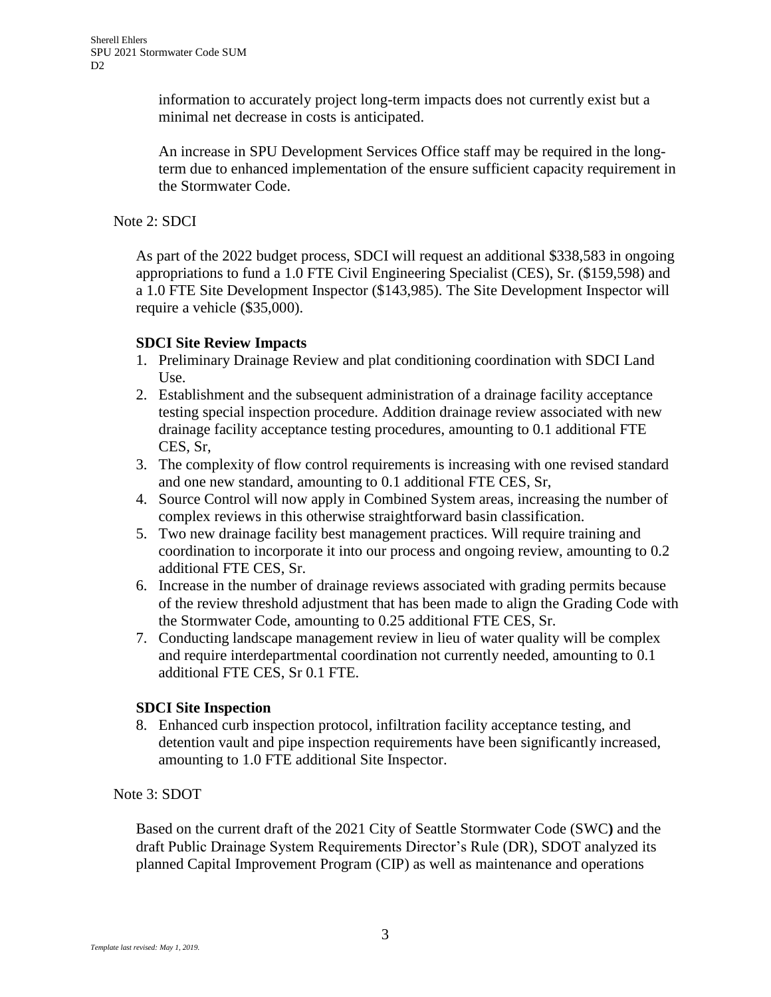information to accurately project long-term impacts does not currently exist but a minimal net decrease in costs is anticipated.

An increase in SPU Development Services Office staff may be required in the longterm due to enhanced implementation of the ensure sufficient capacity requirement in the Stormwater Code.

### Note 2: SDCI

As part of the 2022 budget process, SDCI will request an additional \$338,583 in ongoing appropriations to fund a 1.0 FTE Civil Engineering Specialist (CES), Sr. (\$159,598) and a 1.0 FTE Site Development Inspector (\$143,985). The Site Development Inspector will require a vehicle (\$35,000).

# **SDCI Site Review Impacts**

- 1. Preliminary Drainage Review and plat conditioning coordination with SDCI Land Use.
- 2. Establishment and the subsequent administration of a drainage facility acceptance testing special inspection procedure. Addition drainage review associated with new drainage facility acceptance testing procedures, amounting to 0.1 additional FTE CES, Sr,
- 3. The complexity of flow control requirements is increasing with one revised standard and one new standard, amounting to 0.1 additional FTE CES, Sr,
- 4. Source Control will now apply in Combined System areas, increasing the number of complex reviews in this otherwise straightforward basin classification.
- 5. Two new drainage facility best management practices. Will require training and coordination to incorporate it into our process and ongoing review, amounting to 0.2 additional FTE CES, Sr.
- 6. Increase in the number of drainage reviews associated with grading permits because of the review threshold adjustment that has been made to align the Grading Code with the Stormwater Code, amounting to 0.25 additional FTE CES, Sr.
- 7. Conducting landscape management review in lieu of water quality will be complex and require interdepartmental coordination not currently needed, amounting to 0.1 additional FTE CES, Sr 0.1 FTE.

# **SDCI Site Inspection**

8. Enhanced curb inspection protocol, infiltration facility acceptance testing, and detention vault and pipe inspection requirements have been significantly increased, amounting to 1.0 FTE additional Site Inspector.

### Note 3: SDOT

Based on the current draft of the 2021 City of Seattle Stormwater Code (SWC**)** and the draft Public Drainage System Requirements Director's Rule (DR), SDOT analyzed its planned Capital Improvement Program (CIP) as well as maintenance and operations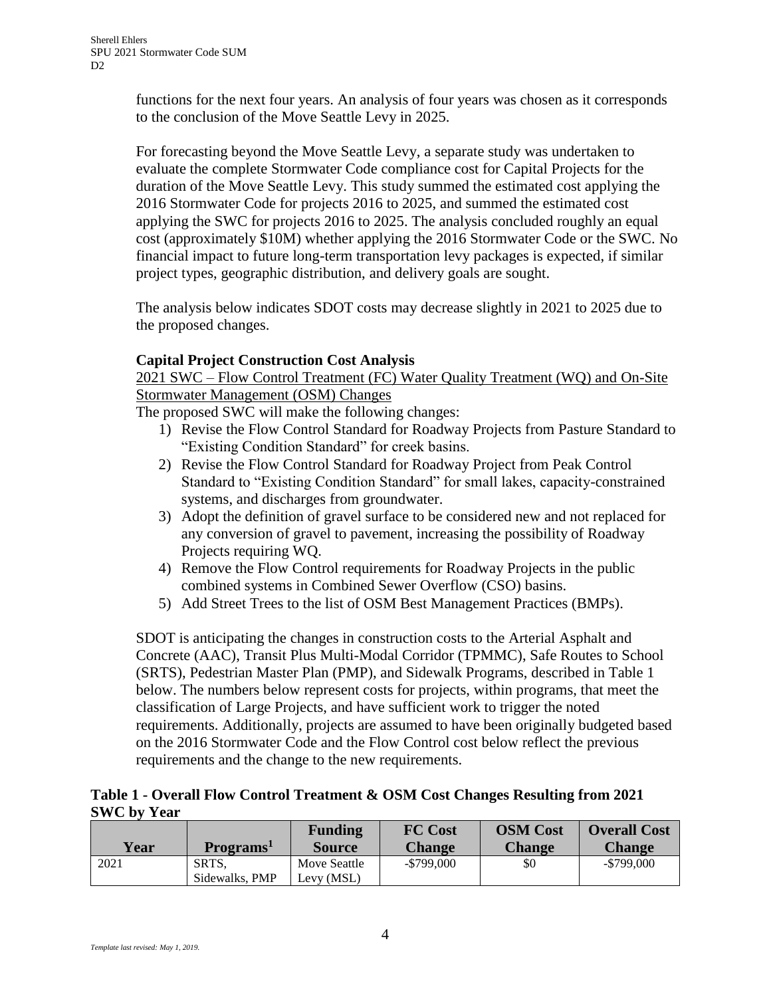functions for the next four years. An analysis of four years was chosen as it corresponds to the conclusion of the Move Seattle Levy in 2025.

For forecasting beyond the Move Seattle Levy, a separate study was undertaken to evaluate the complete Stormwater Code compliance cost for Capital Projects for the duration of the Move Seattle Levy. This study summed the estimated cost applying the 2016 Stormwater Code for projects 2016 to 2025, and summed the estimated cost applying the SWC for projects 2016 to 2025. The analysis concluded roughly an equal cost (approximately \$10M) whether applying the 2016 Stormwater Code or the SWC. No financial impact to future long-term transportation levy packages is expected, if similar project types, geographic distribution, and delivery goals are sought.

The analysis below indicates SDOT costs may decrease slightly in 2021 to 2025 due to the proposed changes.

# **Capital Project Construction Cost Analysis**

2021 SWC – Flow Control Treatment (FC) Water Quality Treatment (WQ) and On-Site Stormwater Management (OSM) Changes

The proposed SWC will make the following changes:

- 1) Revise the Flow Control Standard for Roadway Projects from Pasture Standard to "Existing Condition Standard" for creek basins.
- 2) Revise the Flow Control Standard for Roadway Project from Peak Control Standard to "Existing Condition Standard" for small lakes, capacity-constrained systems, and discharges from groundwater.
- 3) Adopt the definition of gravel surface to be considered new and not replaced for any conversion of gravel to pavement, increasing the possibility of Roadway Projects requiring WQ.
- 4) Remove the Flow Control requirements for Roadway Projects in the public combined systems in Combined Sewer Overflow (CSO) basins.
- 5) Add Street Trees to the list of OSM Best Management Practices (BMPs).

SDOT is anticipating the changes in construction costs to the Arterial Asphalt and Concrete (AAC), Transit Plus Multi-Modal Corridor (TPMMC), Safe Routes to School (SRTS), Pedestrian Master Plan (PMP), and Sidewalk Programs, described in Table 1 below. The numbers below represent costs for projects, within programs, that meet the classification of Large Projects, and have sufficient work to trigger the noted requirements. Additionally, projects are assumed to have been originally budgeted based on the 2016 Stormwater Code and the Flow Control cost below reflect the previous requirements and the change to the new requirements.

### **Table 1 - Overall Flow Control Treatment & OSM Cost Changes Resulting from 2021 SWC by Year**

|             |                       | <b>Funding</b> | <b>FC Cost</b> | <b>OSM</b> Cost | <b>Overall Cost</b> |
|-------------|-----------------------|----------------|----------------|-----------------|---------------------|
| <b>Year</b> | Programs <sup>1</sup> | <b>Source</b>  | <b>Change</b>  | <b>Change</b>   | <b>Change</b>       |
| 2021        | SRTS.                 | Move Seattle   | $-$ \$799,000  | \$0             | $-$ \$799,000       |
|             | Sidewalks, PMP        | Levy (MSL)     |                |                 |                     |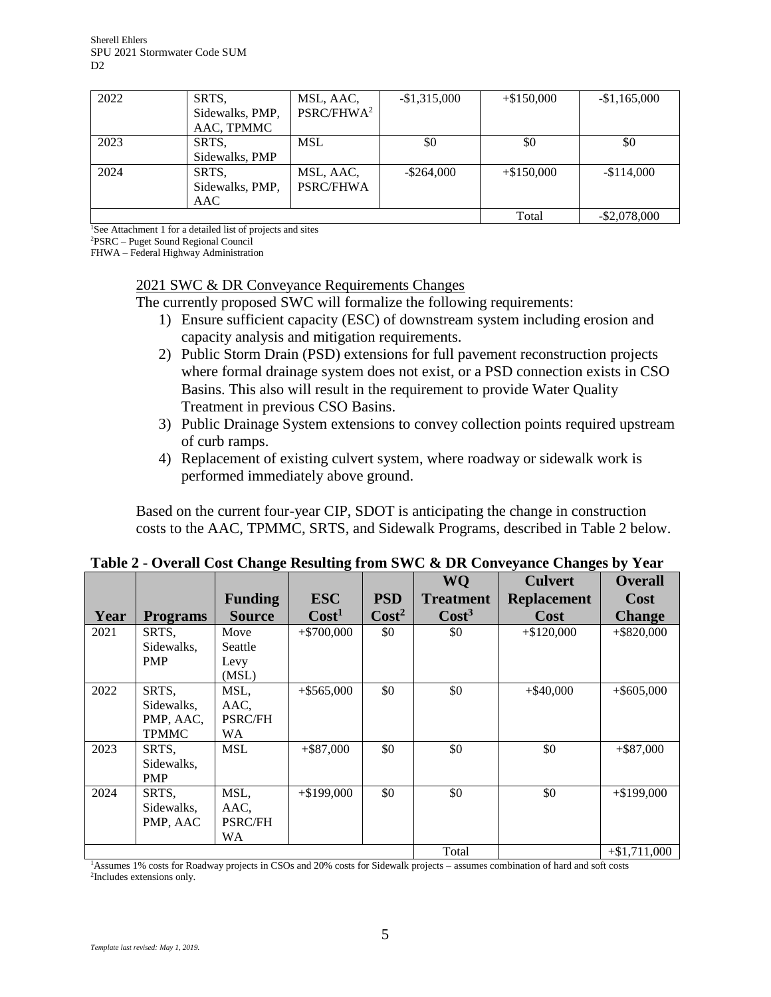| 2022 | SRTS,           | MSL, AAC,              | $-$1,315,000$ | $+$ \$150,000 | $-$1,165,000$   |
|------|-----------------|------------------------|---------------|---------------|-----------------|
|      | Sidewalks, PMP, | PSRC/FHWA <sup>2</sup> |               |               |                 |
|      | AAC, TPMMC      |                        |               |               |                 |
| 2023 | SRTS.           | MSL                    | \$0           | \$0           | \$0             |
|      | Sidewalks, PMP  |                        |               |               |                 |
| 2024 | SRTS,           | MSL, AAC,              | $-$ \$264,000 | $+ $150,000$  | $-$114,000$     |
|      | Sidewalks, PMP, | <b>PSRC/FHWA</b>       |               |               |                 |
|      | AAC             |                        |               |               |                 |
|      |                 |                        |               | Total         | $-$ \$2,078,000 |

<sup>1</sup>See Attachment 1 for a detailed list of projects and sites

<sup>2</sup>PSRC – Puget Sound Regional Council

FHWA – Federal Highway Administration

#### 2021 SWC & DR Conveyance Requirements Changes

The currently proposed SWC will formalize the following requirements:

- 1) Ensure sufficient capacity (ESC) of downstream system including erosion and capacity analysis and mitigation requirements.
- 2) Public Storm Drain (PSD) extensions for full pavement reconstruction projects where formal drainage system does not exist, or a PSD connection exists in CSO Basins. This also will result in the requirement to provide Water Quality Treatment in previous CSO Basins.
- 3) Public Drainage System extensions to convey collection points required upstream of curb ramps.
- 4) Replacement of existing culvert system, where roadway or sidewalk work is performed immediately above ground.

Based on the current four-year CIP, SDOT is anticipating the change in construction costs to the AAC, TPMMC, SRTS, and Sidewalk Programs, described in Table 2 below.

|      |                 | ె              |                   |                 |                   |                    |                 |
|------|-----------------|----------------|-------------------|-----------------|-------------------|--------------------|-----------------|
|      |                 |                |                   |                 | WQ                | <b>Culvert</b>     | <b>Overall</b>  |
|      |                 | <b>Funding</b> | <b>ESC</b>        | <b>PSD</b>      | <b>Treatment</b>  | <b>Replacement</b> | Cost            |
| Year | <b>Programs</b> | <b>Source</b>  | Cost <sup>1</sup> | $\text{Cost}^2$ | Cost <sup>3</sup> | Cost               | <b>Change</b>   |
| 2021 | SRTS,           | Move           | $+ $700,000$      | \$0             | \$0               | $+ $120,000$       | $+$ \$820,000   |
|      | Sidewalks,      | Seattle        |                   |                 |                   |                    |                 |
|      | <b>PMP</b>      | Levy           |                   |                 |                   |                    |                 |
|      |                 | (MSL)          |                   |                 |                   |                    |                 |
| 2022 | SRTS,           | MSL,           | $+$ \$565,000     | \$0             | \$0               | $+$ \$40,000       | $+$ \$605,000   |
|      | Sidewalks,      | AAC,           |                   |                 |                   |                    |                 |
|      | PMP, AAC,       | <b>PSRC/FH</b> |                   |                 |                   |                    |                 |
|      | <b>TPMMC</b>    | WA             |                   |                 |                   |                    |                 |
| 2023 | SRTS,           | <b>MSL</b>     | $+$ \$87,000      | \$0             | \$0               | \$0                | $+$ \$87,000    |
|      | Sidewalks,      |                |                   |                 |                   |                    |                 |
|      | <b>PMP</b>      |                |                   |                 |                   |                    |                 |
| 2024 | SRTS,           | MSL,           | $+$ \$199,000     | \$0             | \$0               | \$0                | $+$ \$199,000   |
|      | Sidewalks,      | AAC.           |                   |                 |                   |                    |                 |
|      | PMP, AAC        | <b>PSRC/FH</b> |                   |                 |                   |                    |                 |
|      |                 | WA             |                   |                 |                   |                    |                 |
|      |                 |                |                   |                 | Total             |                    | $+$ \$1,711,000 |

| Table 2 - Overall Cost Change Resulting from SWC & DR Conveyance Changes by Year |  |  |  |  |  |  |  |  |  |  |  |  |  |
|----------------------------------------------------------------------------------|--|--|--|--|--|--|--|--|--|--|--|--|--|
|----------------------------------------------------------------------------------|--|--|--|--|--|--|--|--|--|--|--|--|--|

<sup>1</sup>Assumes 1% costs for Roadway projects in CSOs and 20% costs for Sidewalk projects – assumes combination of hard and soft costs 2 Includes extensions only.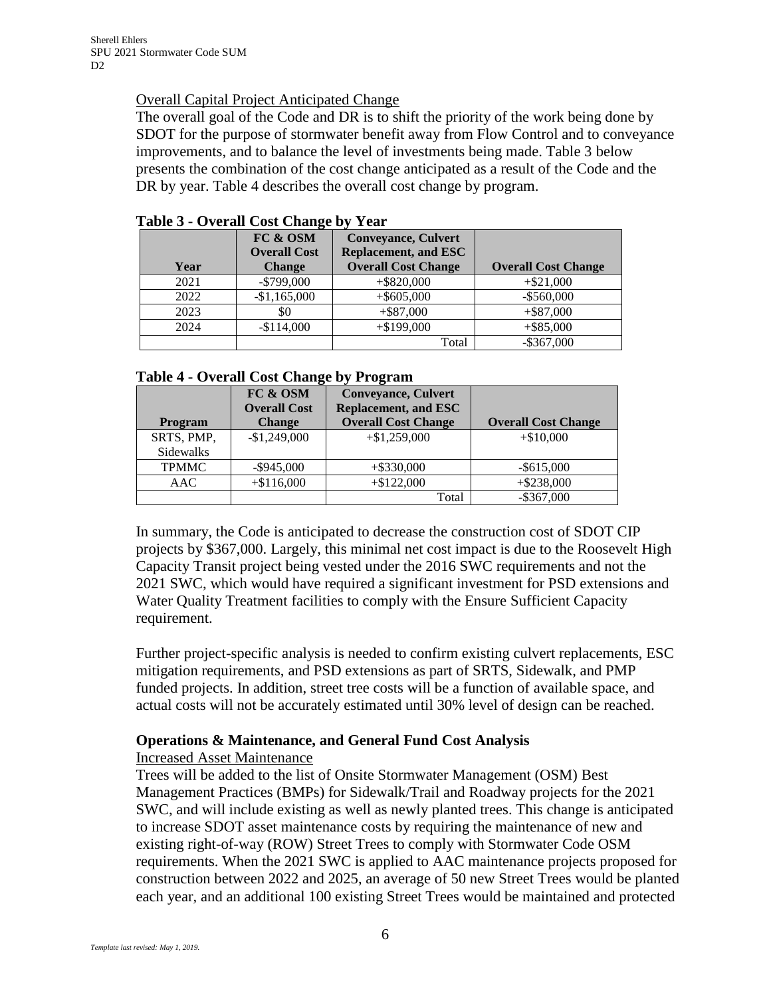### Overall Capital Project Anticipated Change

The overall goal of the Code and DR is to shift the priority of the work being done by SDOT for the purpose of stormwater benefit away from Flow Control and to conveyance improvements, and to balance the level of investments being made. Table 3 below presents the combination of the cost change anticipated as a result of the Code and the DR by year. Table 4 describes the overall cost change by program.

| Year | FC & OSM<br><b>Overall Cost</b><br><b>Change</b> | <b>Conveyance, Culvert</b><br><b>Replacement, and ESC</b><br><b>Overall Cost Change</b> | <b>Overall Cost Change</b> |
|------|--------------------------------------------------|-----------------------------------------------------------------------------------------|----------------------------|
| 2021 | $-$ \$799,000                                    | $+$ \$820,000                                                                           | $+ $21,000$                |
| 2022 | $-$1,165,000$                                    | $+$ \$605,000                                                                           | $-$ \$560,000              |
| 2023 | \$0                                              | $+$ \$87,000                                                                            | $+$ \$87,000               |
| 2024 | $-$114,000$                                      | $+ $199,000$                                                                            | $+$ \$85,000               |
|      |                                                  | Total                                                                                   | $-$ \$367,000              |

### **Table 3 - Overall Cost Change by Year**

#### **Table 4 - Overall Cost Change by Program**

|              | FC & OSM            | <b>Conveyance, Culvert</b>  |                            |
|--------------|---------------------|-----------------------------|----------------------------|
|              | <b>Overall Cost</b> | <b>Replacement, and ESC</b> |                            |
| Program      | <b>Change</b>       | <b>Overall Cost Change</b>  | <b>Overall Cost Change</b> |
| SRTS, PMP,   | $-$1,249,000$       | $+\$1,259,000$              | $+ $10,000$                |
| Sidewalks    |                     |                             |                            |
| <b>TPMMC</b> | $-$ \$945,000       | $+$ \$330,000               | $-$ \$615,000              |
| AAC          | $+ $116,000$        | $+\$122,000$                | $+$ \$238,000              |
|              |                     | Total                       | $-$ \$367,000              |

In summary, the Code is anticipated to decrease the construction cost of SDOT CIP projects by \$367,000. Largely, this minimal net cost impact is due to the Roosevelt High Capacity Transit project being vested under the 2016 SWC requirements and not the 2021 SWC, which would have required a significant investment for PSD extensions and Water Quality Treatment facilities to comply with the Ensure Sufficient Capacity requirement.

Further project-specific analysis is needed to confirm existing culvert replacements, ESC mitigation requirements, and PSD extensions as part of SRTS, Sidewalk, and PMP funded projects. In addition, street tree costs will be a function of available space, and actual costs will not be accurately estimated until 30% level of design can be reached.

# **Operations & Maintenance, and General Fund Cost Analysis**

### Increased Asset Maintenance

Trees will be added to the list of Onsite Stormwater Management (OSM) Best Management Practices (BMPs) for Sidewalk/Trail and Roadway projects for the 2021 SWC, and will include existing as well as newly planted trees. This change is anticipated to increase SDOT asset maintenance costs by requiring the maintenance of new and existing right-of-way (ROW) Street Trees to comply with Stormwater Code OSM requirements. When the 2021 SWC is applied to AAC maintenance projects proposed for construction between 2022 and 2025, an average of 50 new Street Trees would be planted each year, and an additional 100 existing Street Trees would be maintained and protected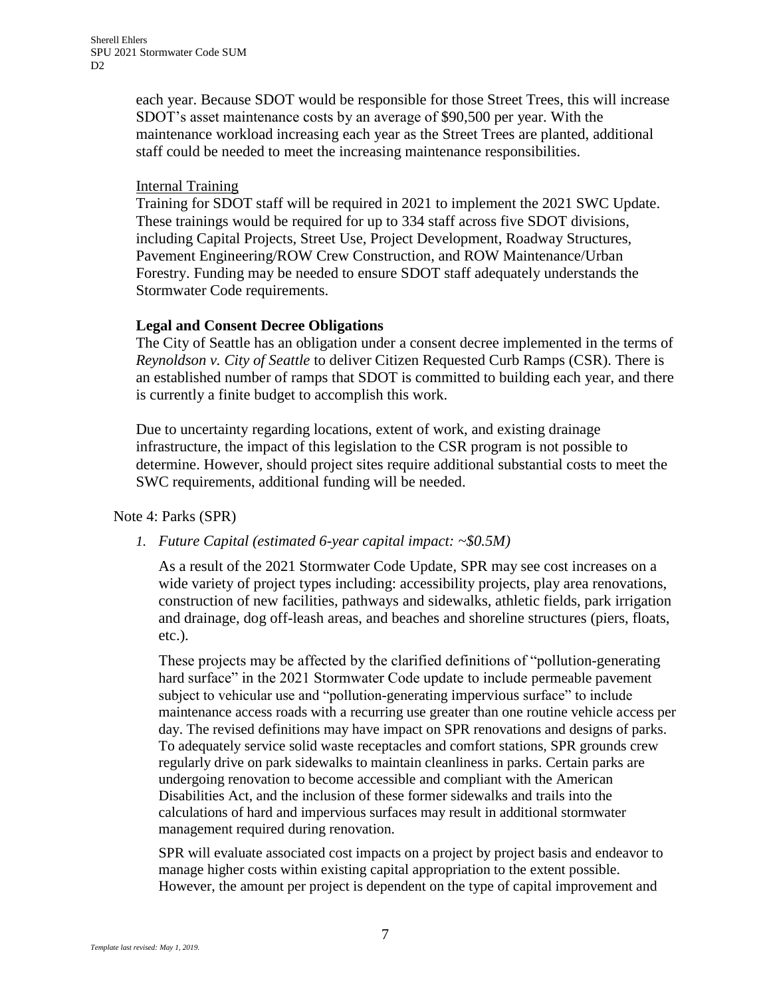each year. Because SDOT would be responsible for those Street Trees, this will increase SDOT's asset maintenance costs by an average of \$90,500 per year. With the maintenance workload increasing each year as the Street Trees are planted, additional staff could be needed to meet the increasing maintenance responsibilities.

#### **Internal Training**

Training for SDOT staff will be required in 2021 to implement the 2021 SWC Update. These trainings would be required for up to 334 staff across five SDOT divisions, including Capital Projects, Street Use, Project Development, Roadway Structures, Pavement Engineering/ROW Crew Construction, and ROW Maintenance/Urban Forestry. Funding may be needed to ensure SDOT staff adequately understands the Stormwater Code requirements.

### **Legal and Consent Decree Obligations**

The City of Seattle has an obligation under a consent decree implemented in the terms of *Reynoldson v. City of Seattle* to deliver Citizen Requested Curb Ramps (CSR). There is an established number of ramps that SDOT is committed to building each year, and there is currently a finite budget to accomplish this work.

Due to uncertainty regarding locations, extent of work, and existing drainage infrastructure, the impact of this legislation to the CSR program is not possible to determine. However, should project sites require additional substantial costs to meet the SWC requirements, additional funding will be needed.

### Note 4: Parks (SPR)

### *1. Future Capital (estimated 6-year capital impact: ~\$0.5M)*

As a result of the 2021 Stormwater Code Update, SPR may see cost increases on a wide variety of project types including: accessibility projects, play area renovations, construction of new facilities, pathways and sidewalks, athletic fields, park irrigation and drainage, dog off-leash areas, and beaches and shoreline structures (piers, floats, etc.).

These projects may be affected by the clarified definitions of "pollution-generating hard surface" in the 2021 Stormwater Code update to include permeable pavement subject to vehicular use and "pollution-generating impervious surface" to include maintenance access roads with a recurring use greater than one routine vehicle access per day. The revised definitions may have impact on SPR renovations and designs of parks. To adequately service solid waste receptacles and comfort stations, SPR grounds crew regularly drive on park sidewalks to maintain cleanliness in parks. Certain parks are undergoing renovation to become accessible and compliant with the American Disabilities Act, and the inclusion of these former sidewalks and trails into the calculations of hard and impervious surfaces may result in additional stormwater management required during renovation.

SPR will evaluate associated cost impacts on a project by project basis and endeavor to manage higher costs within existing capital appropriation to the extent possible. However, the amount per project is dependent on the type of capital improvement and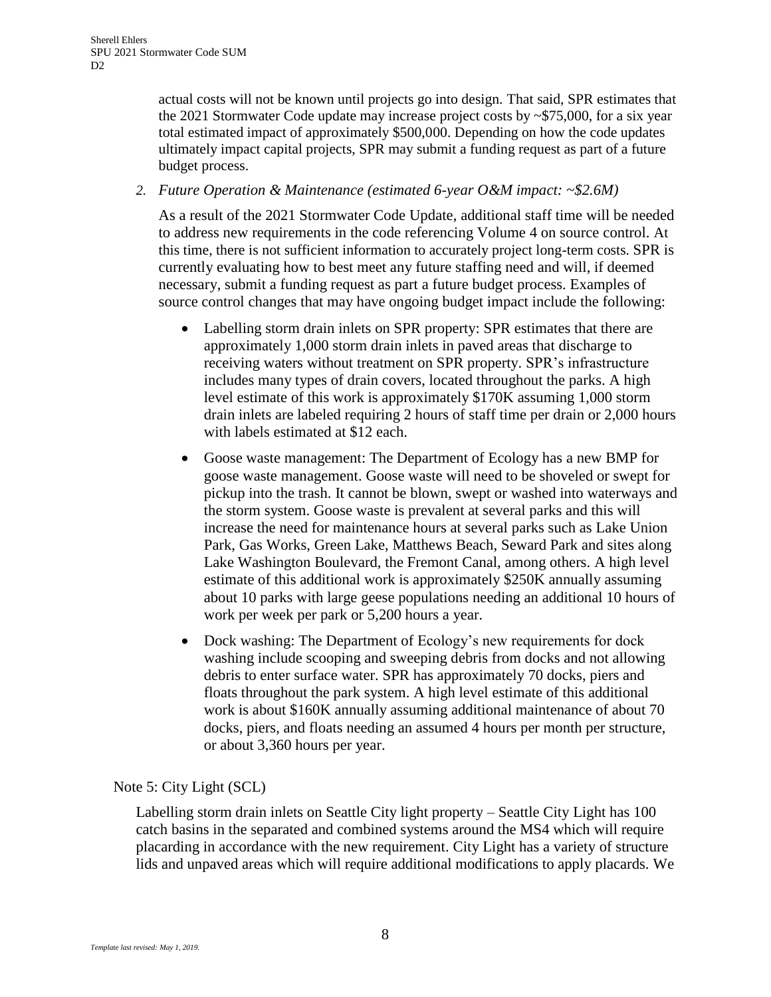actual costs will not be known until projects go into design. That said, SPR estimates that the 2021 Stormwater Code update may increase project costs by ~\$75,000, for a six year total estimated impact of approximately \$500,000. Depending on how the code updates ultimately impact capital projects, SPR may submit a funding request as part of a future budget process.

*2. Future Operation & Maintenance (estimated 6-year O&M impact: ~\$2.6M)*

As a result of the 2021 Stormwater Code Update, additional staff time will be needed to address new requirements in the code referencing Volume 4 on source control. At this time, there is not sufficient information to accurately project long-term costs. SPR is currently evaluating how to best meet any future staffing need and will, if deemed necessary, submit a funding request as part a future budget process. Examples of source control changes that may have ongoing budget impact include the following:

- Labelling storm drain inlets on SPR property: SPR estimates that there are approximately 1,000 storm drain inlets in paved areas that discharge to receiving waters without treatment on SPR property. SPR's infrastructure includes many types of drain covers, located throughout the parks. A high level estimate of this work is approximately \$170K assuming 1,000 storm drain inlets are labeled requiring 2 hours of staff time per drain or 2,000 hours with labels estimated at \$12 each.
- Goose waste management: The Department of Ecology has a new BMP for goose waste management. Goose waste will need to be shoveled or swept for pickup into the trash. It cannot be blown, swept or washed into waterways and the storm system. Goose waste is prevalent at several parks and this will increase the need for maintenance hours at several parks such as Lake Union Park, Gas Works, Green Lake, Matthews Beach, Seward Park and sites along Lake Washington Boulevard, the Fremont Canal, among others. A high level estimate of this additional work is approximately \$250K annually assuming about 10 parks with large geese populations needing an additional 10 hours of work per week per park or 5,200 hours a year.
- Dock washing: The Department of Ecology's new requirements for dock washing include scooping and sweeping debris from docks and not allowing debris to enter surface water. SPR has approximately 70 docks, piers and floats throughout the park system. A high level estimate of this additional work is about \$160K annually assuming additional maintenance of about 70 docks, piers, and floats needing an assumed 4 hours per month per structure, or about 3,360 hours per year.

Note 5: City Light (SCL)

Labelling storm drain inlets on Seattle City light property – Seattle City Light has 100 catch basins in the separated and combined systems around the MS4 which will require placarding in accordance with the new requirement. City Light has a variety of structure lids and unpaved areas which will require additional modifications to apply placards. We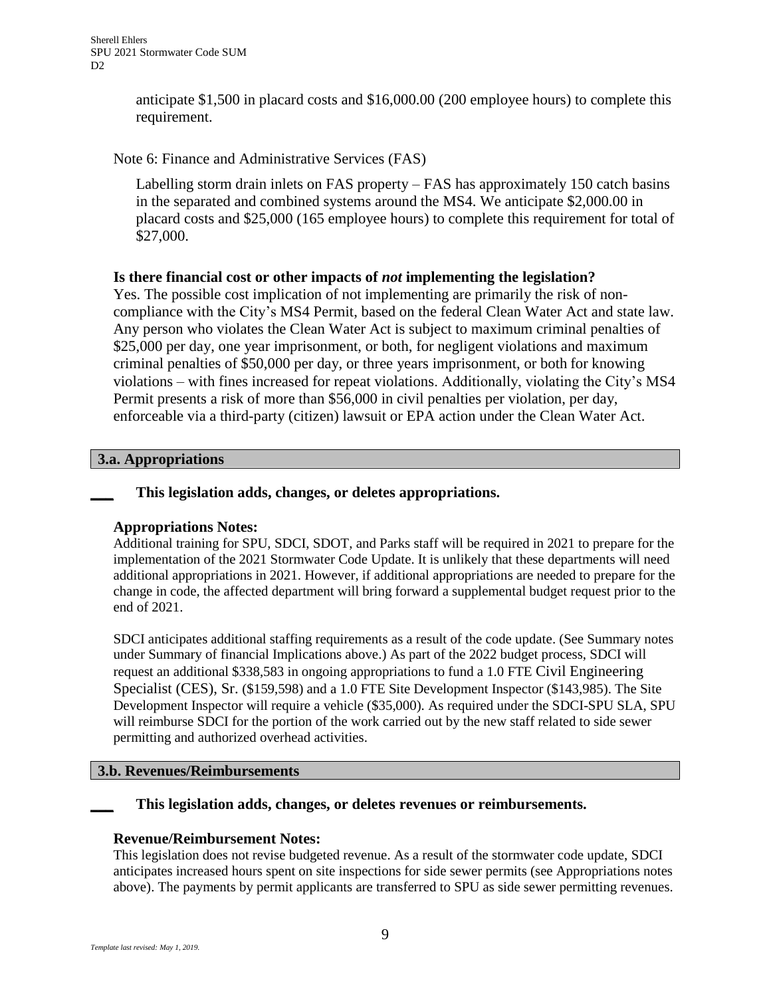anticipate \$1,500 in placard costs and \$16,000.00 (200 employee hours) to complete this requirement.

### Note 6: Finance and Administrative Services (FAS)

Labelling storm drain inlets on FAS property – FAS has approximately 150 catch basins in the separated and combined systems around the MS4. We anticipate \$2,000.00 in placard costs and \$25,000 (165 employee hours) to complete this requirement for total of \$27,000.

### **Is there financial cost or other impacts of** *not* **implementing the legislation?**

Yes. The possible cost implication of not implementing are primarily the risk of noncompliance with the City's MS4 Permit, based on the federal Clean Water Act and state law. Any person who violates the Clean Water Act is subject to maximum criminal penalties of \$25,000 per day, one year imprisonment, or both, for negligent violations and maximum criminal penalties of \$50,000 per day, or three years imprisonment, or both for knowing violations – with fines increased for repeat violations. Additionally, violating the City's MS4 Permit presents a risk of more than \$56,000 in civil penalties per violation, per day, enforceable via a third-party (citizen) lawsuit or EPA action under the Clean Water Act.

#### **3.a. Appropriations**

### **\_\_\_ This legislation adds, changes, or deletes appropriations.**

### **Appropriations Notes:**

Additional training for SPU, SDCI, SDOT, and Parks staff will be required in 2021 to prepare for the implementation of the 2021 Stormwater Code Update. It is unlikely that these departments will need additional appropriations in 2021. However, if additional appropriations are needed to prepare for the change in code, the affected department will bring forward a supplemental budget request prior to the end of 2021.

SDCI anticipates additional staffing requirements as a result of the code update. (See Summary notes under Summary of financial Implications above.) As part of the 2022 budget process, SDCI will request an additional \$338,583 in ongoing appropriations to fund a 1.0 FTE Civil Engineering Specialist (CES), Sr. (\$159,598) and a 1.0 FTE Site Development Inspector (\$143,985). The Site Development Inspector will require a vehicle (\$35,000). As required under the SDCI-SPU SLA, SPU will reimburse SDCI for the portion of the work carried out by the new staff related to side sewer permitting and authorized overhead activities.

### **3.b. Revenues/Reimbursements**

### **\_\_\_ This legislation adds, changes, or deletes revenues or reimbursements.**

### **Revenue/Reimbursement Notes:**

This legislation does not revise budgeted revenue. As a result of the stormwater code update, SDCI anticipates increased hours spent on site inspections for side sewer permits (see Appropriations notes above). The payments by permit applicants are transferred to SPU as side sewer permitting revenues.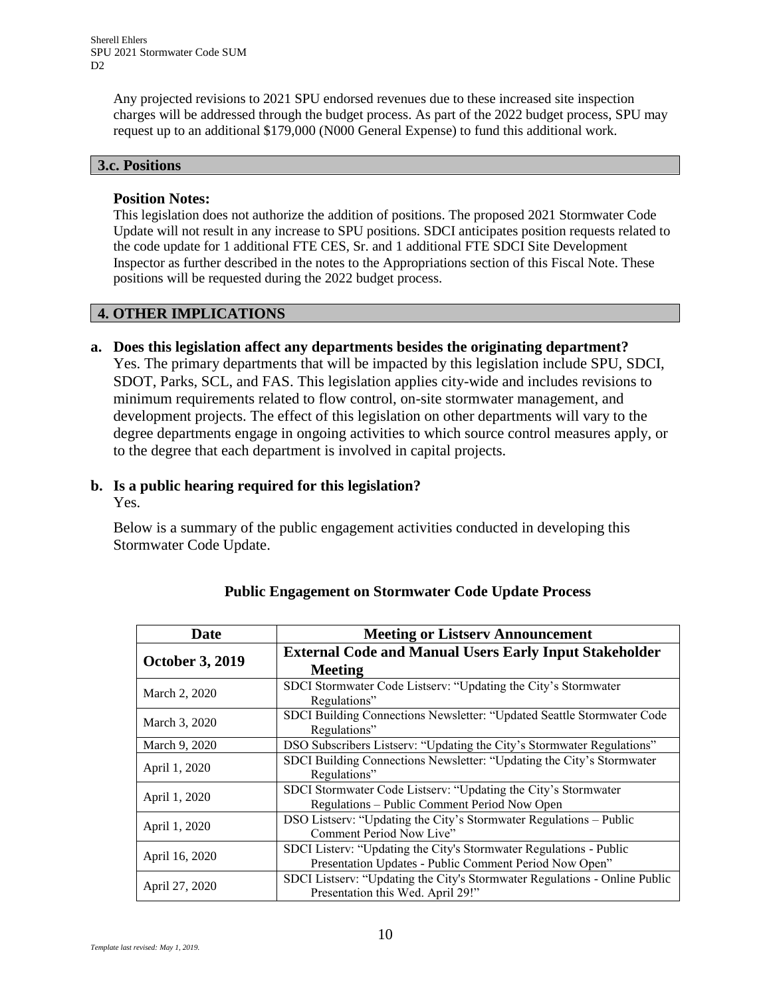Any projected revisions to 2021 SPU endorsed revenues due to these increased site inspection charges will be addressed through the budget process. As part of the 2022 budget process, SPU may request up to an additional \$179,000 (N000 General Expense) to fund this additional work.

### **3.c. Positions**

#### **Position Notes:**

This legislation does not authorize the addition of positions. The proposed 2021 Stormwater Code Update will not result in any increase to SPU positions. SDCI anticipates position requests related to the code update for 1 additional FTE CES, Sr. and 1 additional FTE SDCI Site Development Inspector as further described in the notes to the Appropriations section of this Fiscal Note. These positions will be requested during the 2022 budget process.

### **4. OTHER IMPLICATIONS**

**a. Does this legislation affect any departments besides the originating department?** Yes. The primary departments that will be impacted by this legislation include SPU, SDCI, SDOT, Parks, SCL, and FAS. This legislation applies city-wide and includes revisions to minimum requirements related to flow control, on-site stormwater management, and development projects. The effect of this legislation on other departments will vary to the degree departments engage in ongoing activities to which source control measures apply, or to the degree that each department is involved in capital projects.

# **b. Is a public hearing required for this legislation?**

Yes.

Below is a summary of the public engagement activities conducted in developing this Stormwater Code Update.

| Date                   | <b>Meeting or Listserv Announcement</b>                                                                                      |
|------------------------|------------------------------------------------------------------------------------------------------------------------------|
| <b>October 3, 2019</b> | <b>External Code and Manual Users Early Input Stakeholder</b><br><b>Meeting</b>                                              |
| March 2, 2020          | SDCI Stormwater Code Listserv: "Updating the City's Stormwater<br>Regulations"                                               |
| March 3, 2020          | SDCI Building Connections Newsletter: "Updated Seattle Stormwater Code<br>Regulations"                                       |
| March 9, 2020          | DSO Subscribers Listserv: "Updating the City's Stormwater Regulations"                                                       |
| April 1, 2020          | SDCI Building Connections Newsletter: "Updating the City's Stormwater<br>Regulations"                                        |
| April 1, 2020          | SDCI Stormwater Code Listserv: "Updating the City's Stormwater<br>Regulations – Public Comment Period Now Open               |
| April 1, 2020          | DSO Listserv: "Updating the City's Stormwater Regulations – Public<br>Comment Period Now Live"                               |
| April 16, 2020         | SDCI Listerv: "Updating the City's Stormwater Regulations - Public<br>Presentation Updates - Public Comment Period Now Open" |
| April 27, 2020         | SDCI Listserv: "Updating the City's Stormwater Regulations - Online Public<br>Presentation this Wed. April 29!"              |

# **Public Engagement on Stormwater Code Update Process**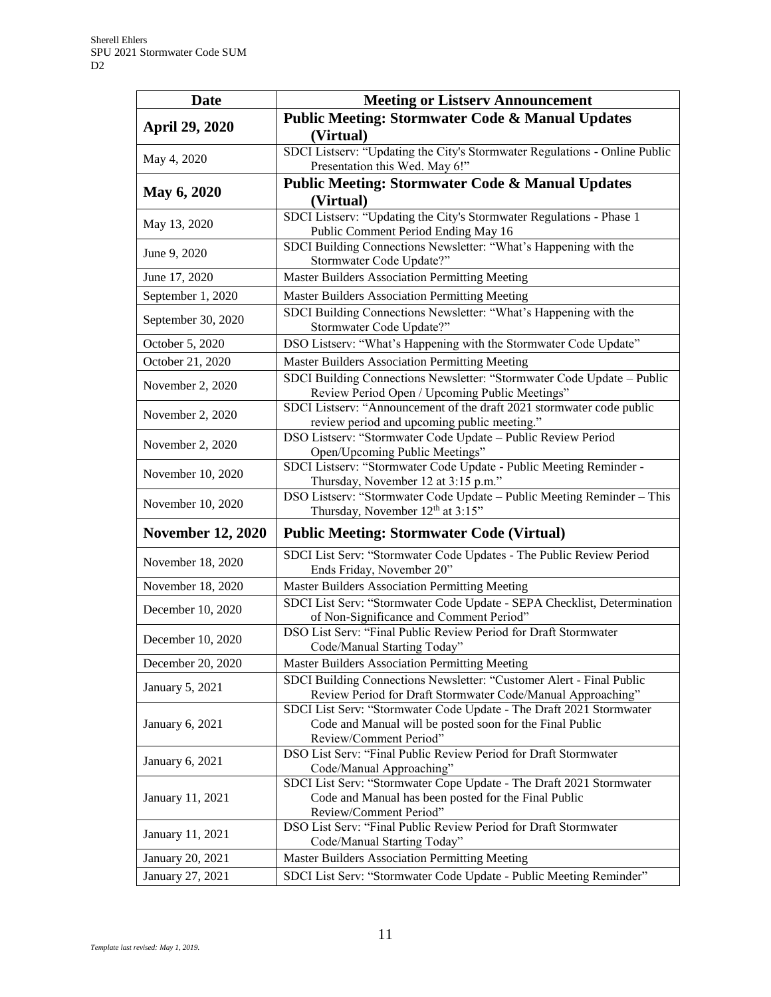| <b>Date</b>              | <b>Meeting or Listserv Announcement</b>                                                                                  |
|--------------------------|--------------------------------------------------------------------------------------------------------------------------|
|                          | <b>Public Meeting: Stormwater Code &amp; Manual Updates</b>                                                              |
| <b>April 29, 2020</b>    | (Virtual)                                                                                                                |
| May 4, 2020              | SDCI Listserv: "Updating the City's Stormwater Regulations - Online Public                                               |
|                          | Presentation this Wed. May 6!"                                                                                           |
|                          | <b>Public Meeting: Stormwater Code &amp; Manual Updates</b>                                                              |
| <b>May 6, 2020</b>       | (Virtual)                                                                                                                |
| May 13, 2020             | SDCI Listserv: "Updating the City's Stormwater Regulations - Phase 1                                                     |
|                          | Public Comment Period Ending May 16                                                                                      |
| June 9, 2020             | SDCI Building Connections Newsletter: "What's Happening with the                                                         |
|                          | Stormwater Code Update?"                                                                                                 |
| June 17, 2020            | <b>Master Builders Association Permitting Meeting</b>                                                                    |
| September 1, 2020        | Master Builders Association Permitting Meeting                                                                           |
| September 30, 2020       | SDCI Building Connections Newsletter: "What's Happening with the<br>Stormwater Code Update?"                             |
| October 5, 2020          | DSO Listserv: "What's Happening with the Stormwater Code Update"                                                         |
| October 21, 2020         | <b>Master Builders Association Permitting Meeting</b>                                                                    |
| November 2, 2020         | SDCI Building Connections Newsletter: "Stormwater Code Update - Public<br>Review Period Open / Upcoming Public Meetings" |
| November 2, 2020         | SDCI Listserv: "Announcement of the draft 2021 stormwater code public<br>review period and upcoming public meeting."     |
|                          | DSO Listserv: "Stormwater Code Update - Public Review Period                                                             |
| November 2, 2020         | Open/Upcoming Public Meetings"                                                                                           |
| November 10, 2020        | SDCI Listserv: "Stormwater Code Update - Public Meeting Reminder -                                                       |
|                          | Thursday, November 12 at 3:15 p.m."                                                                                      |
| November 10, 2020        | DSO Listserv: "Stormwater Code Update - Public Meeting Reminder - This<br>Thursday, November 12th at 3:15"               |
| <b>November 12, 2020</b> | <b>Public Meeting: Stormwater Code (Virtual)</b>                                                                         |
|                          | SDCI List Serv: "Stormwater Code Updates - The Public Review Period                                                      |
| November 18, 2020        | Ends Friday, November 20"                                                                                                |
| November 18, 2020        | Master Builders Association Permitting Meeting                                                                           |
| December 10, 2020        | SDCI List Serv: "Stormwater Code Update - SEPA Checklist, Determination                                                  |
|                          | of Non-Significance and Comment Period"                                                                                  |
| December 10, 2020        | DSO List Serv: "Final Public Review Period for Draft Stormwater<br>Code/Manual Starting Today"                           |
| December 20, 2020        | <b>Master Builders Association Permitting Meeting</b>                                                                    |
| January 5, 2021          | SDCI Building Connections Newsletter: "Customer Alert - Final Public                                                     |
|                          | Review Period for Draft Stormwater Code/Manual Approaching"                                                              |
| January 6, 2021          | SDCI List Serv: "Stormwater Code Update - The Draft 2021 Stormwater                                                      |
|                          | Code and Manual will be posted soon for the Final Public                                                                 |
|                          | Review/Comment Period"<br>DSO List Serv: "Final Public Review Period for Draft Stormwater                                |
| January 6, 2021          | Code/Manual Approaching"                                                                                                 |
|                          | SDCI List Serv: "Stormwater Cope Update - The Draft 2021 Stormwater                                                      |
| January 11, 2021         | Code and Manual has been posted for the Final Public                                                                     |
|                          | Review/Comment Period"                                                                                                   |
| January 11, 2021         | DSO List Serv: "Final Public Review Period for Draft Stormwater                                                          |
|                          | Code/Manual Starting Today"                                                                                              |
| January 20, 2021         | Master Builders Association Permitting Meeting                                                                           |
| January 27, 2021         | SDCI List Serv: "Stormwater Code Update - Public Meeting Reminder"                                                       |